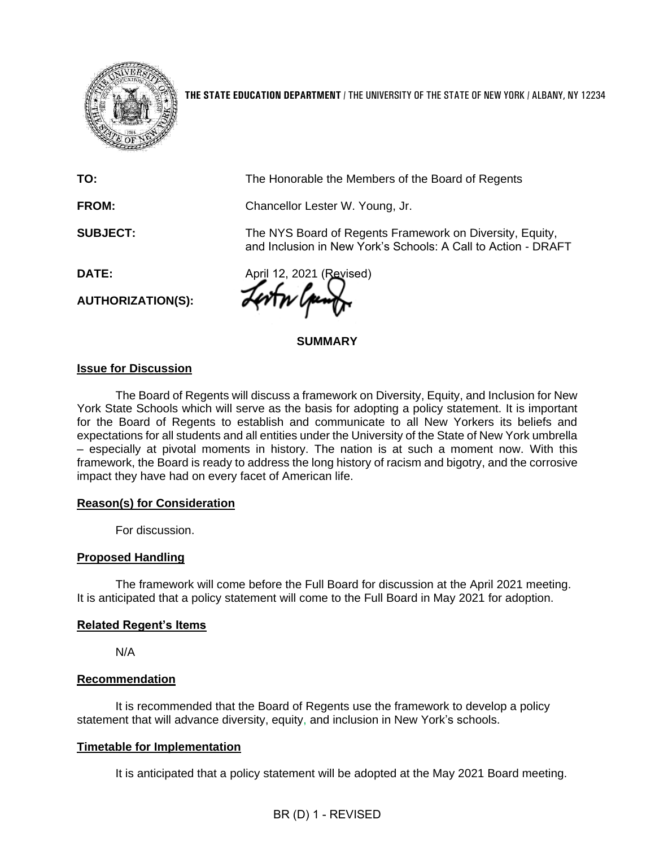

**THE STATE EDUCATION DEPARTMENT** / THE UNIVERSITY OF THE STATE OF NEW YORK / ALBANY, NY 12234

**TO: FROM: SUBJECT: DATE:** The Honorable the Members of the Board of Regents Chancellor Lester W. Young, Jr. The NYS Board of Regents Framework on Diversity, Equity, and Inclusion in New York's Schools: A Call to Action - DRAFT April 12, 2021 (Revised) **AUTHORIZATION(S): SUMMARY**

#### **Issue for Discussion**

The Board of Regents will discuss a framework on Diversity, Equity, and Inclusion for New York State Schools which will serve as the basis for adopting a policy statement. It is important for the Board of Regents to establish and communicate to all New Yorkers its beliefs and expectations for all students and all entities under the University of the State of New York umbrella – especially at pivotal moments in history. The nation is at such a moment now. With this framework, the Board is ready to address the long history of racism and bigotry, and the corrosive impact they have had on every facet of American life.

#### **Reason(s) for Consideration**

For discussion.

#### **Proposed Handling**

The framework will come before the Full Board for discussion at the April 2021 meeting. It is anticipated that a policy statement will come to the Full Board in May 2021 for adoption.

#### **Related Regent's Items**

N/A

#### **Recommendation**

It is recommended that the Board of Regents use the framework to develop a policy statement that will advance diversity, equity, and inclusion in New York's schools.

#### **Timetable for Implementation**

It is anticipated that a policy statement will be adopted at the May 2021 Board meeting.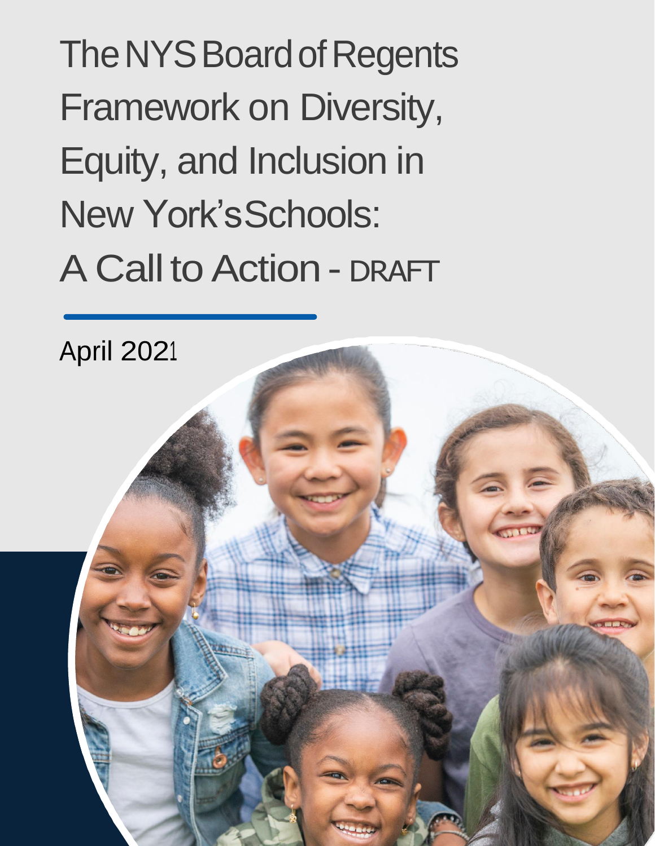The NYS Board of Regents Framework on Diversity, Equity, and Inclusion in New York'sSchools: A Call to Action - DRAFT

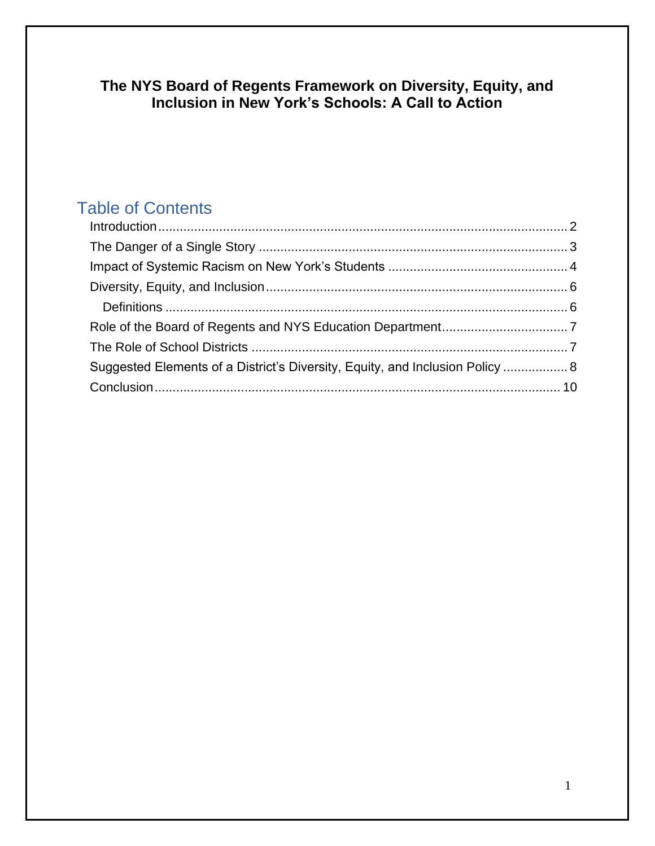# **The NYS Board of Regents Framework on Diversity, Equity, and Inclusion in New York's Schools: A Call to Action**

# Table of Contents

| Suggested Elements of a District's Diversity, Equity, and Inclusion Policy  8 |  |
|-------------------------------------------------------------------------------|--|
|                                                                               |  |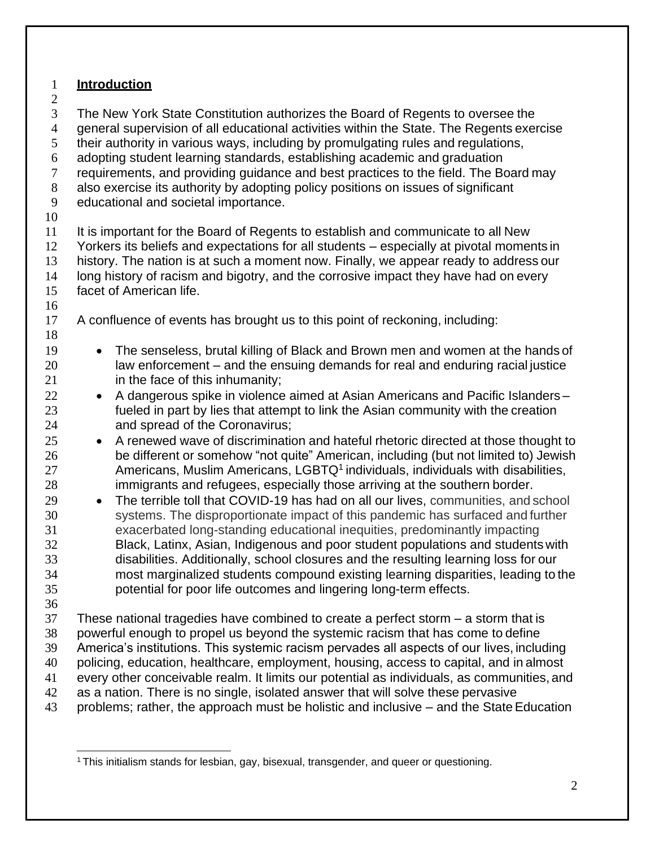### <span id="page-3-0"></span>**Introduction**

 The New York State Constitution authorizes the Board of Regents to oversee the general supervision of all educational activities within the State. The Regents exercise their authority in various ways, including by promulgating rules and regulations, adopting student learning standards, establishing academic and graduation requirements, and providing guidance and best practices to the field. The Board may also exercise its authority by adopting policy positions on issues of significant educational and societal importance. It is important for the Board of Regents to establish and communicate to all New Yorkers its beliefs and expectations for all students – especially at pivotal moments in history. The nation is at such a moment now. Finally, we appear ready to address our long history of racism and bigotry, and the corrosive impact they have had on every facet of American life. A confluence of events has brought us to this point of reckoning, including: • The senseless, brutal killing of Black and Brown men and women at the hands of law enforcement – and the ensuing demands for real and enduring racial justice in the face of this inhumanity; 22 • A dangerous spike in violence aimed at Asian Americans and Pacific Islanders – fueled in part by lies that attempt to link the Asian community with the creation and spread of the Coronavirus; 25 • A renewed wave of discrimination and hateful rhetoric directed at those thought to be different or somehow "not quite" American, including (but not limited to) Jewish 27 Americans, Muslim Americans, LGBTQ<sup>[1](#page-3-1)</sup> individuals, individuals with disabilities, immigrants and refugees, especially those arriving at the southern border. • The terrible toll that COVID-19 has had on all our lives, communities, and school systems. The disproportionate impact of this pandemic has surfaced and further exacerbated long-standing educational inequities, predominantly impacting Black, Latinx, Asian, Indigenous and poor student populations and students with disabilities. Additionally, school closures and the resulting learning loss for our most marginalized students compound existing learning disparities, leading to the potential for poor life outcomes and lingering long-term effects. These national tragedies have combined to create a perfect storm – a storm that is powerful enough to propel us beyond the systemic racism that has come to define America's institutions. This systemic racism pervades all aspects of our lives, including policing, education, healthcare, employment, housing, access to capital, and in almost every other conceivable realm. It limits our potential as individuals, as communities, and as a nation. There is no single, isolated answer that will solve these pervasive 43 problems; rather, the approach must be holistic and inclusive – and the State Education

<span id="page-3-1"></span>This initialism stands for lesbian, gay, bisexual, transgender, and queer or questioning.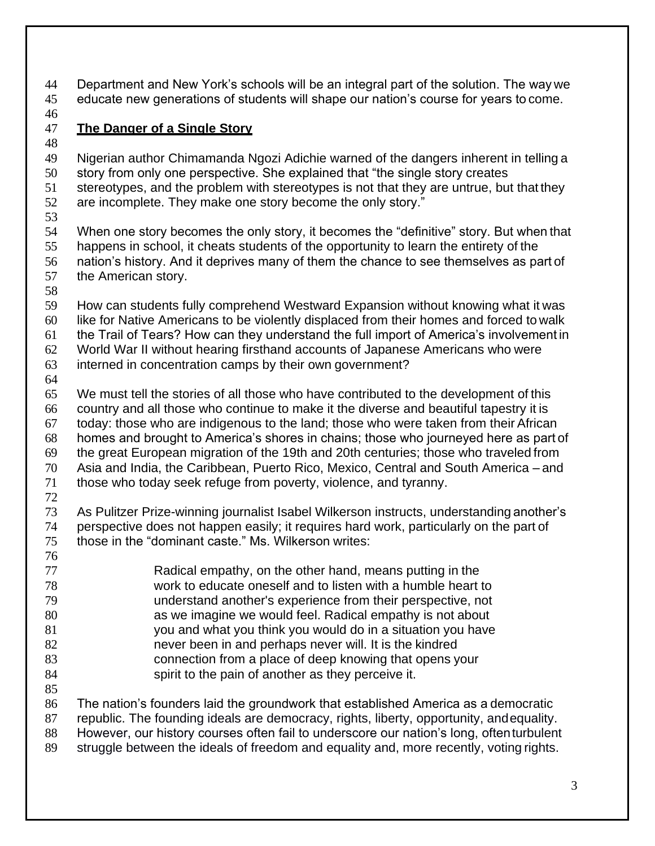Department and New York's schools will be an integral part of the solution. The way we educate new generations of students will shape our nation's course for years to come.

#### <span id="page-4-0"></span>**The Danger of a Single Story**

 Nigerian author Chimamanda Ngozi Adichie warned of the dangers inherent in telling a story from only one perspective. She explained that "the single story creates stereotypes, and the problem with stereotypes is not that they are untrue, but that they are incomplete. They make one story become the only story." When one story becomes the only story, it becomes the "definitive" story. But when that happens in school, it cheats students of the opportunity to learn the entirety of the nation's history. And it deprives many of them the chance to see themselves as part of the American story. How can students fully comprehend Westward Expansion without knowing what it was like for Native Americans to be violently displaced from their homes and forced to walk the Trail of Tears? How can they understand the full import of America's involvement in World War II without hearing firsthand accounts of Japanese Americans who were interned in concentration camps by their own government? We must tell the stories of all those who have contributed to the development of this country and all those who continue to make it the diverse and beautiful tapestry it is today: those who are indigenous to the land; those who were taken from their African homes and brought to America's shores in chains; those who journeyed here as part of the great European migration of the 19th and 20th centuries; those who traveled from Asia and India, the Caribbean, Puerto Rico, Mexico, Central and South America – and those who today seek refuge from poverty, violence, and tyranny. As Pulitzer Prize-winning journalist Isabel Wilkerson instructs, understanding another's perspective does not happen easily; it requires hard work, particularly on the part of those in the "dominant caste." Ms. Wilkerson writes: Radical empathy, on the other hand, means putting in the work to educate oneself and to listen with a humble heart to understand another's experience from their perspective, not as we imagine we would feel. Radical empathy is not about you and what you think you would do in a situation you have never been in and perhaps never will. It is the kindred connection from a place of deep knowing that opens your spirit to the pain of another as they perceive it. The nation's founders laid the groundwork that established America as a democratic republic. The founding ideals are democracy, rights, liberty, opportunity, andequality. However, our history courses often fail to underscore our nation's long, oftenturbulent struggle between the ideals of freedom and equality and, more recently, voting rights.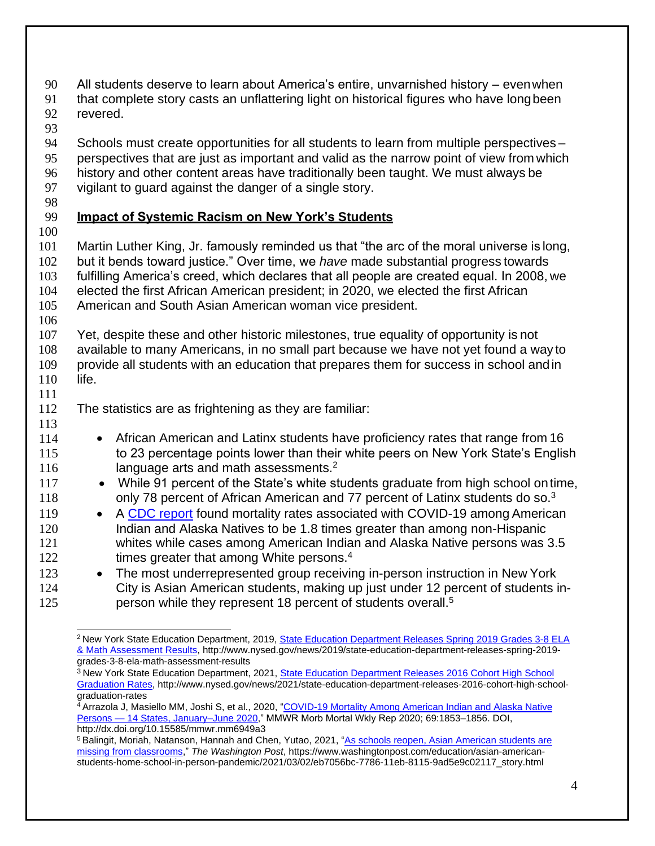90 All students deserve to learn about America's entire, unvarnished history – evenwhen

- 91 that complete story casts an unflattering light on historical figures who have longbeen 92 revered.
- 93
- 94 Schools must create opportunities for all students to learn from multiple perspectives –
- 95 perspectives that are just as important and valid as the narrow point of view from which 96 history and other content areas have traditionally been taught. We must always be
- 
- 97 vigilant to guard against the danger of a single story.
- 98

# <span id="page-5-0"></span>99 **Impact of Systemic Racism on New York's Students**

100

 Martin Luther King, Jr. famously reminded us that "the arc of the moral universe is long, but it bends toward justice." Over time, we *have* made substantial progress towards fulfilling America's creed, which declares that all people are created equal. In 2008, we elected the first African American president; in 2020, we elected the first African American and South Asian American woman vice president.

106

 Yet, despite these and other historic milestones, true equality of opportunity is not available to many Americans, in no small part because we have not yet found a way to provide all students with an education that prepares them for success in school andin 110 life.

111

113

112 The statistics are as frightening as they are familiar:

- 114 African American and Latinx students have proficiency rates that range from 16 115 to 23 percentage points lower than their white peers on New York State's English 116 language arts and math assessments. $2$
- 117 While 91 percent of the State's white students graduate from high school on time, 118 only 78 percent of African American and 77 percent of Latinx students do so.<sup>[3](#page-5-2)</sup>
- 119 A [CDC report](https://www.cdc.gov/mmwr/volumes/69/wr/mm6949a3.htm?s_cid=mm6949a3_w) found mortality rates associated with COVID-19 among American 120 Indian and Alaska Natives to be 1.8 times greater than among non-Hispanic 121 whites while cases among American Indian and Alaska Native persons was 3.5 122 times greater that among White persons.<sup>[4](#page-5-3)</sup>
- 123 The most underrepresented group receiving in-person instruction in New York 124 City is Asian American students, making up just under 12 percent of students in-12[5](#page-5-4) **person while they represent 18 percent of students overall.**<sup>5</sup>

<span id="page-5-2"></span><sup>3</sup> New York State Education Department, 2021, [State Education Department Releases 2016 Cohort High School](http://www.nysed.gov/news/2021/state-education-department-releases-2016-cohort-high-school-graduation-rates) [Graduation Rates,](http://www.nysed.gov/news/2021/state-education-department-releases-2016-cohort-high-school-graduation-rates) [http://www.nysed.gov/news/2021/state-education-department-releases-2016-cohort-high-school](http://www.nysed.gov/news/2021/state-education-department-releases-2016-cohort-high-school-)graduation-rates

<span id="page-5-1"></span><sup>&</sup>lt;sup>2</sup> New York State Education Department, 2019[, State Education Department Releases Spring 2019 Grades 3-8 ELA](http://www.nysed.gov/news/2019/state-education-department-releases-spring-2019-grades-3-8-ela-math-assessment-results) [& Math Assessment Results,](http://www.nysed.gov/news/2019/state-education-department-releases-spring-2019-grades-3-8-ela-math-assessment-results) [http://www.nysed.gov/news/2019/state-education-department-releases-spring-2019](http://www.nysed.gov/news/2019/state-education-department-releases-spring-2019-) grades-3-8-ela-math-assessment-results

<span id="page-5-3"></span><sup>&</sup>lt;sup>4</sup> Arrazola J, Masiello MM, Joshi S, et al., 20[20, "COVID-19 Mortality Among American Indian and Alaska Native](https://www.cdc.gov/mmwr/volumes/69/wr/mm6949a3.htm?s_cid=mm6949a3_w) Persons — [14 States, January–June 2020,"](https://www.cdc.gov/mmwr/volumes/69/wr/mm6949a3.htm?s_cid=mm6949a3_w) MMWR Morb Mortal Wkly Rep 2020; 69:1853–1856. DOI, <http://dx.doi.org/10.15585/mmwr.mm6949a3>

<span id="page-5-4"></span><sup>&</sup>lt;sup>5</sup> Balingit, Moriah, Natanson, Hannah and Chen, Yutao, 2021, ["As schools reopen, Asian American students are](https://www.washingtonpost.com/education/asian-american-students-home-school-in-person-pandemic/2021/03/02/eb7056bc-7786-11eb-8115-9ad5e9c02117_story.html) [missing from classrooms,"](https://www.washingtonpost.com/education/asian-american-students-home-school-in-person-pandemic/2021/03/02/eb7056bc-7786-11eb-8115-9ad5e9c02117_story.html) *The Washington Post*, https:/[/www.washingtonpost.com/education/asian-american](http://www.washingtonpost.com/education/asian-american-)students-home-school-in-person-pandemic/2021/03/02/eb7056bc-7786-11eb-8115-9ad5e9c02117\_story.html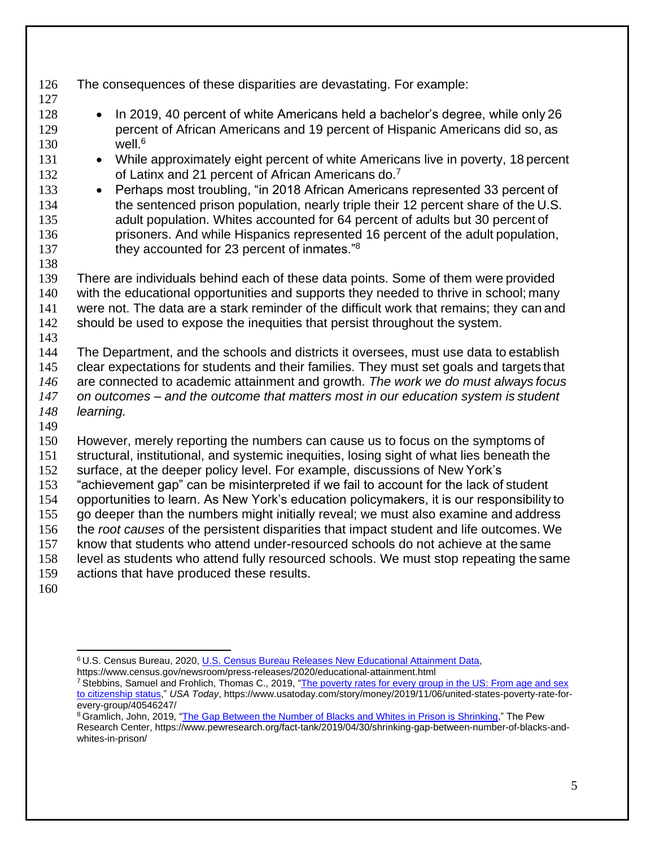- The consequences of these disparities are devastating. For example: • In 2019, 40 percent of white Americans held a bachelor's degree, while only 26 percent of African Americans and 19 percent of Hispanic Americans did so, as well.<sup>[6](#page-6-0)</sup> 131 • While approximately eight percent of white Americans live in poverty, 18 percent 132 of Latinx and 21 percent of African Americans do.<sup>[7](#page-6-1)</sup> 133 • Perhaps most troubling, "in 2018 African Americans represented 33 percent of the sentenced prison population, nearly triple their 12 percent share of the U.S. adult population. Whites accounted for 64 percent of adults but 30 percent of prisoners. And while Hispanics represented 16 percent of the adult population, 137 they accounted for 23 percent of inmates."<sup>[8](#page-6-2)</sup> There are individuals behind each of these data points. Some of them were provided with the educational opportunities and supports they needed to thrive in school; many were not. The data are a stark reminder of the difficult work that remains; they can and 142 should be used to expose the inequities that persist throughout the system. The Department, and the schools and districts it oversees, must use data to establish clear expectations for students and their families. They must set goals and targets that are connected to academic attainment and growth. *The work we do must always focus on outcomes – and the outcome that matters most in our education system is student learning.* However, merely reporting the numbers can cause us to focus on the symptoms of structural, institutional, and systemic inequities, losing sight of what lies beneath the surface, at the deeper policy level. For example, discussions of New York's "achievement gap" can be misinterpreted if we fail to account for the lack of student opportunities to learn. As New York's education policymakers, it is our responsibility to go deeper than the numbers might initially reveal; we must also examine and address the *root causes* of the persistent disparities that impact student and life outcomes. We know that students who attend under-resourced schools do not achieve at the same level as students who attend fully resourced schools. We must stop repeating the same
- actions that have produced these results.
- 

<span id="page-6-0"></span>U.S. Census Bureau, 2020, [U.S. Census Bureau Releases New Educational Attainment Data,](https://www.census.gov/newsroom/press-releases/2020/educational-attainment.html)

https:/[/www.census.gov/newsroom/press-releases/2020/educational-attainment.html](http://www.census.gov/newsroom/press-releases/2020/educational-attainment.html)

<span id="page-6-1"></span><sup>&</sup>lt;sup>7</sup> Stebbins, Samuel and Frohlich, Thomas C., 2019, ["The poverty rates for every group in the US: From age and sex](https://www.usatoday.com/story/money/2019/11/06/united-states-poverty-rate-for-every-group/40546247/) [to citizenship status,"](https://www.usatoday.com/story/money/2019/11/06/united-states-poverty-rate-for-every-group/40546247/) *USA Today*, https:[//www.usatoday.com/story/money/2019/11/06/united-states-poverty-rate-for](http://www.usatoday.com/story/money/2019/11/06/united-states-poverty-rate-for-)every-group/40546247/

<span id="page-6-2"></span><sup>&</sup>lt;sup>8</sup> Gramlich, John, 2019, ["The Gap Between the Number of Blacks and Whites in Prison is Shrinking,"](https://www.pewresearch.org/fact-tank/2019/04/30/shrinking-gap-between-number-of-blacks-and-whites-in-prison/) The Pew Research Center, https:/[/www.pewresearch.org/fact-tank/2019/04/30/shrinking-gap-between-number-of-blacks-and](http://www.pewresearch.org/fact-tank/2019/04/30/shrinking-gap-between-number-of-blacks-and-)whites-in-prison/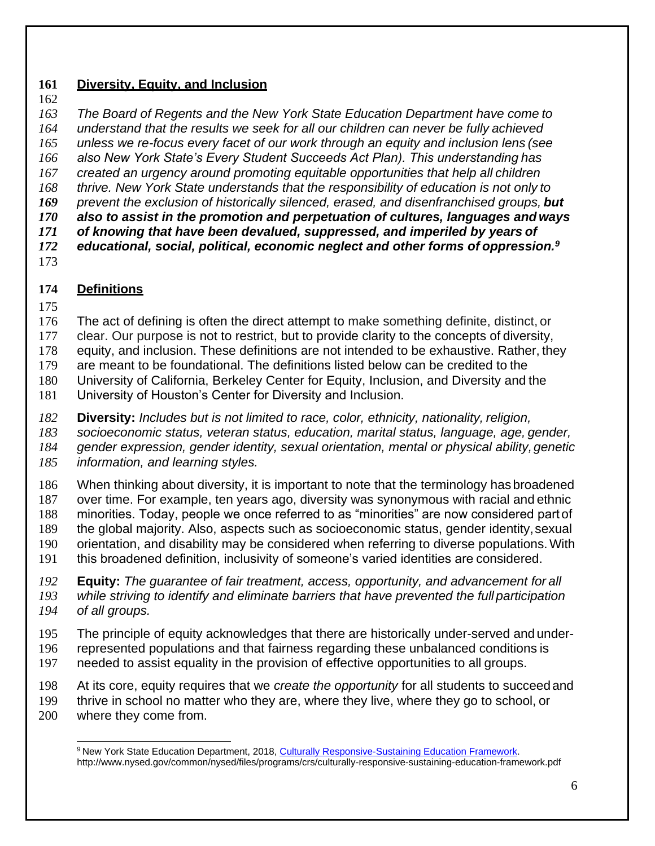### <span id="page-7-0"></span>**Diversity, Equity, and Inclusion**

 *The Board of Regents and the New York State Education Department have come to understand that the results we seek for all our children can never be fully achieved unless we re-focus every facet of our work through an equity and inclusion lens (see also New York State's Every Student Succeeds Act Plan). This understanding has created an urgency around promoting equitable opportunities that help all children thrive. New York State understands that the responsibility of education is not only to prevent the exclusion of historically silenced, erased, and disenfranchised groups, but also to assist in the promotion and perpetuation of cultures, languages andways of knowing that have been devalued, suppressed, and imperiled by years of educational, social, political, economic neglect and other forms of oppression.[9](#page-7-2)* 

## <span id="page-7-1"></span>**Definitions**

The act of defining is often the direct attempt to make something definite, distinct, or

clear. Our purpose is not to restrict, but to provide clarity to the concepts of diversity,

equity, and inclusion. These definitions are not intended to be exhaustive. Rather, they

are meant to be foundational. The definitions listed below can be credited to the

University of California, Berkeley Center for Equity, Inclusion, and Diversity and the

University of Houston's Center for Diversity and Inclusion.

**Diversity:** *Includes but is not limited to race, color, ethnicity, nationality, religion,*

*socioeconomic status, veteran status, education, marital status, language, age, gender,*

184 gender expression, gender identity, sexual orientation, mental or physical ability, genetic

*information, and learning styles.*

 When thinking about diversity, it is important to note that the terminology has broadened over time. For example, ten years ago, diversity was synonymous with racial and ethnic minorities. Today, people we once referred to as "minorities" are now considered partof the global majority. Also, aspects such as socioeconomic status, gender identity,sexual orientation, and disability may be considered when referring to diverse populations.With

this broadened definition, inclusivity of someone's varied identities are considered.

**Equity:** *The guarantee of fair treatment, access, opportunity, and advancement for all*

 *while striving to identify and eliminate barriers that have prevented the full participation of all groups.*

- The principle of equity acknowledges that there are historically under-served and under-
- represented populations and that fairness regarding these unbalanced conditions is
- needed to assist equality in the provision of effective opportunities to all groups.

At its core, equity requires that we *create the opportunity* for all students to succeedand

 thrive in school no matter who they are, where they live, where they go to school, or where they come from.

<span id="page-7-2"></span><sup>&</sup>lt;sup>9</sup> New York State Education Department, 2018[, Culturally Responsive-Sustaining Education Framework.](http://www.nysed.gov/common/nysed/files/programs/crs/culturally-responsive-sustaining-education-framework.pdf) <http://www.nysed.gov/common/nysed/files/programs/crs/culturally-responsive-sustaining-education-framework.pdf>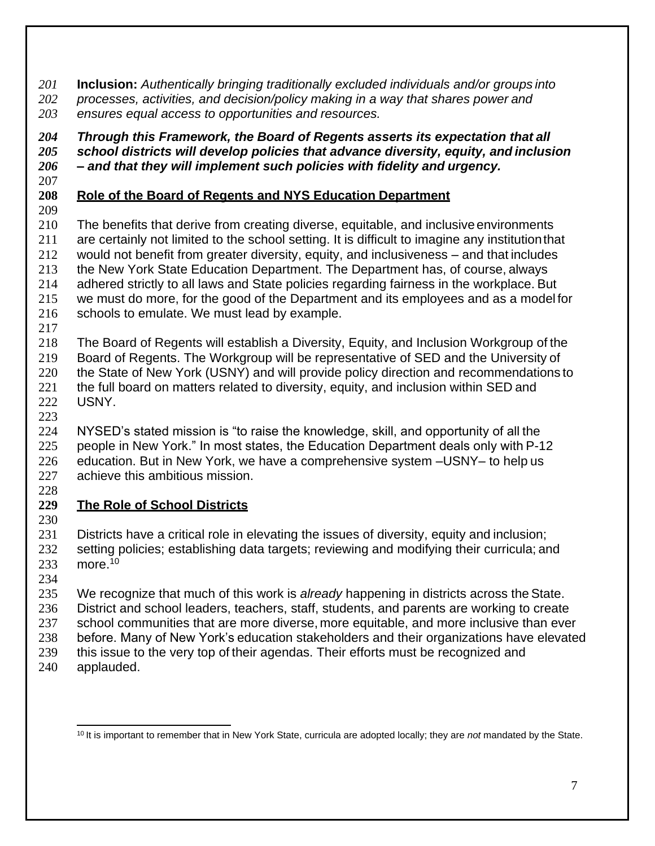**Inclusion:** *Authentically bringing traditionally excluded individuals and/or groups into*

- *processes, activities, and decision/policy making in a way that shares power and*
- *ensures equal access to opportunities and resources.*

 *Through this Framework, the Board of Regents asserts its expectation that all school districts will develop policies that advance diversity, equity, and inclusion – and that they will implement such policies with fidelity and urgency.*

# <span id="page-8-0"></span>**Role of the Board of Regents and NYS Education Department**

 The benefits that derive from creating diverse, equitable, and inclusive environments are certainly not limited to the school setting. It is difficult to imagine any institutionthat would not benefit from greater diversity, equity, and inclusiveness – and that includes the New York State Education Department. The Department has, of course, always adhered strictly to all laws and State policies regarding fairness in the workplace. But we must do more, for the good of the Department and its employees and as a model for

- 216 schools to emulate. We must lead by example.
- 

 The Board of Regents will establish a Diversity, Equity, and Inclusion Workgroup of the Board of Regents. The Workgroup will be representative of SED and the University of

- 220 the State of New York (USNY) and will provide policy direction and recommendations to 221 the full board on matters related to diversity, equity, and inclusion within SED and USNY.
- 

 NYSED's stated mission is "to raise the knowledge, skill, and opportunity of all the people in New York." In most states, the Education Department deals only with P-12 education. But in New York, we have a comprehensive system –USNY– to help us achieve this ambitious mission.

# <span id="page-8-1"></span>**The Role of School Districts**

 Districts have a critical role in elevating the issues of diversity, equity and inclusion; 232 setting policies; establishing data targets; reviewing and modifying their curricula; and more.[10](#page-8-2)

 We recognize that much of this work is *already* happening in districts across theState. District and school leaders, teachers, staff, students, and parents are working to create

- 237 school communities that are more diverse, more equitable, and more inclusive than ever
- before. Many of New York's education stakeholders and their organizations have elevated
- this issue to the very top of their agendas. Their efforts must be recognized and
- applauded.

<span id="page-8-2"></span>It is important to remember that in New York State, curricula are adopted locally; they are *not* mandated by the State.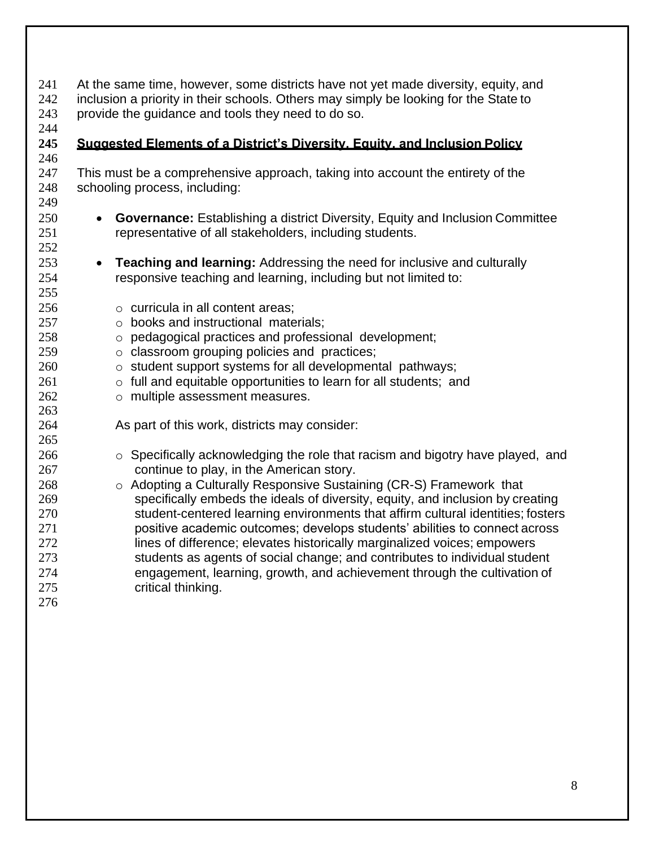<span id="page-9-0"></span>

| 241               | At the same time, however, some districts have not yet made diversity, equity, and                |
|-------------------|---------------------------------------------------------------------------------------------------|
| 242               | inclusion a priority in their schools. Others may simply be looking for the State to              |
| 243               | provide the guidance and tools they need to do so.                                                |
| 244<br>245<br>246 | Suggested Elements of a District's Diversity. Equity. and Inclusion Policy                        |
| 247               | This must be a comprehensive approach, taking into account the entirety of the                    |
| 248               | schooling process, including:                                                                     |
| 249               |                                                                                                   |
| 250               | <b>Governance:</b> Establishing a district Diversity, Equity and Inclusion Committee<br>$\bullet$ |
| 251               | representative of all stakeholders, including students.                                           |
| 252               |                                                                                                   |
| 253               | <b>Teaching and learning: Addressing the need for inclusive and culturally</b><br>$\bullet$       |
| 254               | responsive teaching and learning, including but not limited to:                                   |
| 255               |                                                                                                   |
| 256               | $\circ$ curricula in all content areas;                                                           |
| 257               | o books and instructional materials;                                                              |
| 258               | o pedagogical practices and professional development;                                             |
| 259               | o classroom grouping policies and practices;                                                      |
| 260               | o student support systems for all developmental pathways;                                         |
| 261               | o full and equitable opportunities to learn for all students; and                                 |
| 262               | o multiple assessment measures.                                                                   |
| 263               |                                                                                                   |
| 264               | As part of this work, districts may consider:                                                     |
| 265               |                                                                                                   |
| 266               | $\circ$ Specifically acknowledging the role that racism and bigotry have played, and              |
| 267               | continue to play, in the American story.                                                          |
| 268               | o Adopting a Culturally Responsive Sustaining (CR-S) Framework that                               |
| 269               | specifically embeds the ideals of diversity, equity, and inclusion by creating                    |
| 270               | student-centered learning environments that affirm cultural identities; fosters                   |
| 271               | positive academic outcomes; develops students' abilities to connect across                        |
| 272               | lines of difference; elevates historically marginalized voices; empowers                          |
| 273               | students as agents of social change; and contributes to individual student                        |
| 274               | engagement, learning, growth, and achievement through the cultivation of                          |
| 275               | critical thinking.                                                                                |
| 276               |                                                                                                   |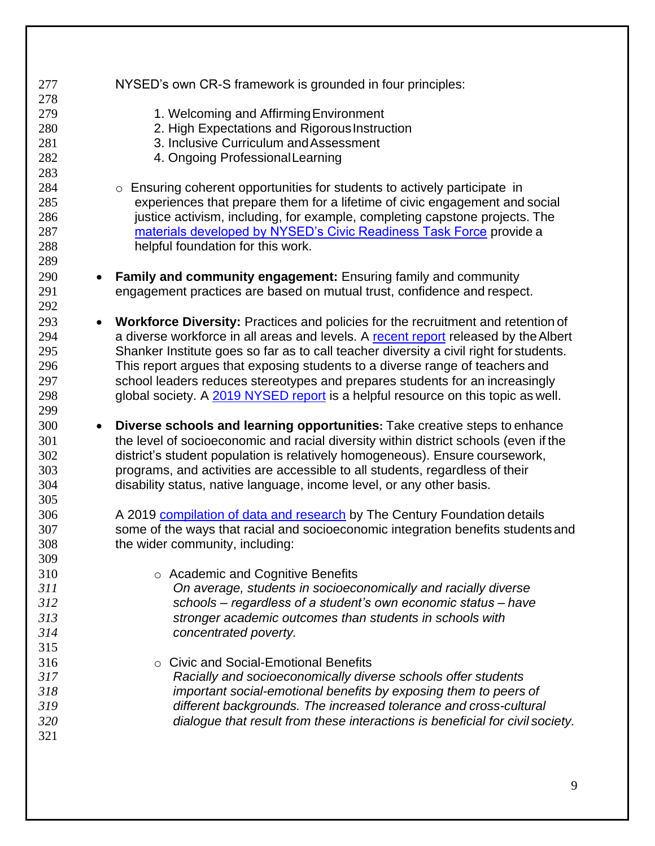| 277 | NYSED's own CR-S framework is grounded in four principles:                             |
|-----|----------------------------------------------------------------------------------------|
| 278 |                                                                                        |
| 279 | 1. Welcoming and Affirming Environment                                                 |
| 280 | 2. High Expectations and Rigorous Instruction                                          |
| 281 | 3. Inclusive Curriculum and Assessment                                                 |
| 282 | 4. Ongoing Professional Learning                                                       |
| 283 |                                                                                        |
| 284 | $\circ$ Ensuring coherent opportunities for students to actively participate in        |
| 285 | experiences that prepare them for a lifetime of civic engagement and social            |
| 286 | justice activism, including, for example, completing capstone projects. The            |
| 287 | materials developed by NYSED's Civic Readiness Task Force provide a                    |
| 288 | helpful foundation for this work.                                                      |
| 289 |                                                                                        |
| 290 | Family and community engagement: Ensuring family and community                         |
| 291 | engagement practices are based on mutual trust, confidence and respect.                |
| 292 |                                                                                        |
| 293 | Workforce Diversity: Practices and policies for the recruitment and retention of       |
| 294 | a diverse workforce in all areas and levels. A recent report released by the Albert    |
| 295 | Shanker Institute goes so far as to call teacher diversity a civil right for students. |
| 296 | This report argues that exposing students to a diverse range of teachers and           |
| 297 | school leaders reduces stereotypes and prepares students for an increasingly           |
| 298 | global society. A 2019 NYSED report is a helpful resource on this topic as well.       |
| 299 |                                                                                        |
|     |                                                                                        |
|     |                                                                                        |
| 300 | Diverse schools and learning opportunities: Take creative steps to enhance             |
| 301 | the level of socioeconomic and racial diversity within district schools (even if the   |
| 302 | district's student population is relatively homogeneous). Ensure coursework,           |
| 303 | programs, and activities are accessible to all students, regardless of their           |
| 304 | disability status, native language, income level, or any other basis.                  |
| 305 |                                                                                        |
| 306 | A 2019 compilation of data and research by The Century Foundation details              |
| 307 | some of the ways that racial and socioeconomic integration benefits students and       |
| 308 | the wider community, including:                                                        |
| 309 |                                                                                        |
| 310 | ○ Academic and Cognitive Benefits                                                      |
| 311 | On average, students in socioeconomically and racially diverse                         |
| 312 | schools - regardless of a student's own economic status - have                         |
| 313 | stronger academic outcomes than students in schools with                               |
| 314 | concentrated poverty.                                                                  |
| 315 |                                                                                        |
| 316 | <b>Civic and Social-Emotional Benefits</b><br>$\circ$                                  |
| 317 | Racially and socioeconomically diverse schools offer students                          |
| 318 | important social-emotional benefits by exposing them to peers of                       |
| 319 | different backgrounds. The increased tolerance and cross-cultural                      |
| 320 | dialogue that result from these interactions is beneficial for civil society.          |
| 321 |                                                                                        |